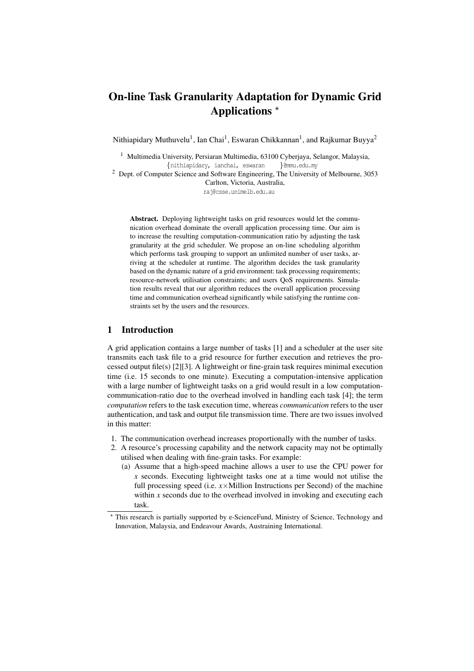# On-line Task Granularity Adaptation for Dynamic Grid Applications  $*$

Nithiapidary Muthuvelu<sup>1</sup>, Ian Chai<sup>1</sup>, Eswaran Chikkannan<sup>1</sup>, and Rajkumar Buyya<sup>2</sup>

<sup>1</sup> Multimedia University, Persiaran Multimedia, 63100 Cyberjaya, Selangor, Malaysia, {nithiapidary, ianchai, eswaran }@mmu.edu.my

<sup>2</sup> Dept. of Computer Science and Software Engineering, The University of Melbourne, 3053 Carlton, Victoria, Australia,

raj@csse.unimelb.edu.au

Abstract. Deploying lightweight tasks on grid resources would let the communication overhead dominate the overall application processing time. Our aim is to increase the resulting computation-communication ratio by adjusting the task granularity at the grid scheduler. We propose an on-line scheduling algorithm which performs task grouping to support an unlimited number of user tasks, arriving at the scheduler at runtime. The algorithm decides the task granularity based on the dynamic nature of a grid environment: task processing requirements; resource-network utilisation constraints; and users QoS requirements. Simulation results reveal that our algorithm reduces the overall application processing time and communication overhead significantly while satisfying the runtime constraints set by the users and the resources.

### 1 Introduction

A grid application contains a large number of tasks [1] and a scheduler at the user site transmits each task file to a grid resource for further execution and retrieves the processed output file(s) [2][3]. A lightweight or fine-grain task requires minimal execution time (i.e. 15 seconds to one minute). Executing a computation-intensive application with a large number of lightweight tasks on a grid would result in a low computationcommunication-ratio due to the overhead involved in handling each task [4]; the term *computation* refers to the task execution time, whereas *communication* refers to the user authentication, and task and output file transmission time. There are two issues involved in this matter:

- 1. The communication overhead increases proportionally with the number of tasks.
- 2. A resource's processing capability and the network capacity may not be optimally utilised when dealing with fine-grain tasks. For example:
	- (a) Assume that a high-speed machine allows a user to use the CPU power for *x* seconds. Executing lightweight tasks one at a time would not utilise the full processing speed (i.e.  $x \times$ Million Instructions per Second) of the machine within *x* seconds due to the overhead involved in invoking and executing each task.

<sup>?</sup> This research is partially supported by e-ScienceFund, Ministry of Science, Technology and Innovation, Malaysia, and Endeavour Awards, Austraining International.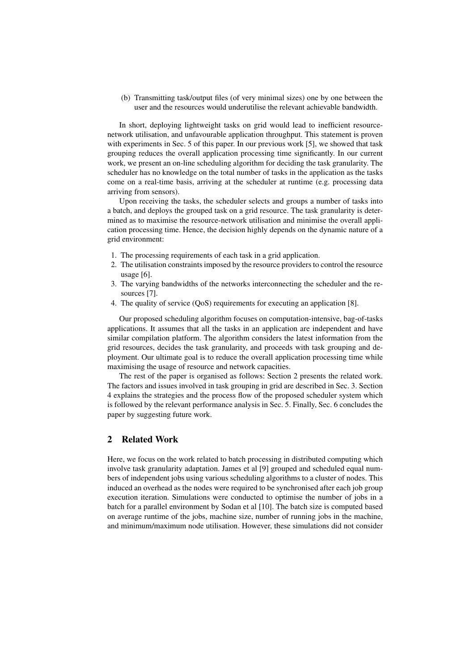(b) Transmitting task/output files (of very minimal sizes) one by one between the user and the resources would underutilise the relevant achievable bandwidth.

In short, deploying lightweight tasks on grid would lead to inefficient resourcenetwork utilisation, and unfavourable application throughput. This statement is proven with experiments in Sec. 5 of this paper. In our previous work [5], we showed that task grouping reduces the overall application processing time significantly. In our current work, we present an on-line scheduling algorithm for deciding the task granularity. The scheduler has no knowledge on the total number of tasks in the application as the tasks come on a real-time basis, arriving at the scheduler at runtime (e.g. processing data arriving from sensors).

Upon receiving the tasks, the scheduler selects and groups a number of tasks into a batch, and deploys the grouped task on a grid resource. The task granularity is determined as to maximise the resource-network utilisation and minimise the overall application processing time. Hence, the decision highly depends on the dynamic nature of a grid environment:

- 1. The processing requirements of each task in a grid application.
- 2. The utilisation constraints imposed by the resource providers to control the resource usage [6].
- 3. The varying bandwidths of the networks interconnecting the scheduler and the resources [7].
- 4. The quality of service (QoS) requirements for executing an application [8].

Our proposed scheduling algorithm focuses on computation-intensive, bag-of-tasks applications. It assumes that all the tasks in an application are independent and have similar compilation platform. The algorithm considers the latest information from the grid resources, decides the task granularity, and proceeds with task grouping and deployment. Our ultimate goal is to reduce the overall application processing time while maximising the usage of resource and network capacities.

The rest of the paper is organised as follows: Section 2 presents the related work. The factors and issues involved in task grouping in grid are described in Sec. 3. Section 4 explains the strategies and the process flow of the proposed scheduler system which is followed by the relevant performance analysis in Sec. 5. Finally, Sec. 6 concludes the paper by suggesting future work.

# 2 Related Work

Here, we focus on the work related to batch processing in distributed computing which involve task granularity adaptation. James et al [9] grouped and scheduled equal numbers of independent jobs using various scheduling algorithms to a cluster of nodes. This induced an overhead as the nodes were required to be synchronised after each job group execution iteration. Simulations were conducted to optimise the number of jobs in a batch for a parallel environment by Sodan et al [10]. The batch size is computed based on average runtime of the jobs, machine size, number of running jobs in the machine, and minimum/maximum node utilisation. However, these simulations did not consider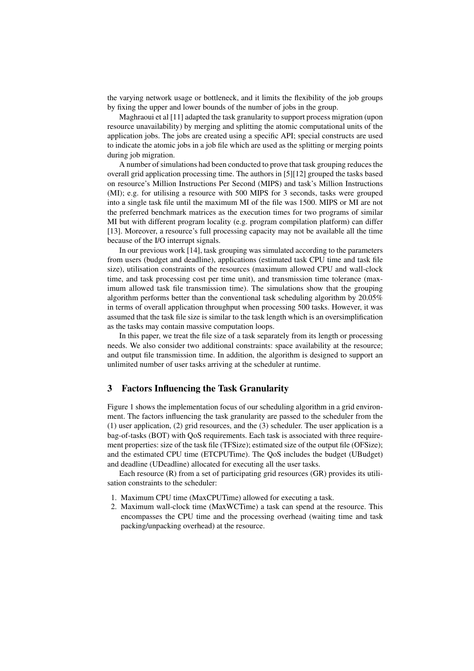the varying network usage or bottleneck, and it limits the flexibility of the job groups by fixing the upper and lower bounds of the number of jobs in the group.

Maghraoui et al [11] adapted the task granularity to support process migration (upon resource unavailability) by merging and splitting the atomic computational units of the application jobs. The jobs are created using a specific API; special constructs are used to indicate the atomic jobs in a job file which are used as the splitting or merging points during job migration.

A number of simulations had been conducted to prove that task grouping reduces the overall grid application processing time. The authors in [5][12] grouped the tasks based on resource's Million Instructions Per Second (MIPS) and task's Million Instructions (MI); e.g. for utilising a resource with 500 MIPS for 3 seconds, tasks were grouped into a single task file until the maximum MI of the file was 1500. MIPS or MI are not the preferred benchmark matrices as the execution times for two programs of similar MI but with different program locality (e.g. program compilation platform) can differ [13]. Moreover, a resource's full processing capacity may not be available all the time because of the I/O interrupt signals.

In our previous work [14], task grouping was simulated according to the parameters from users (budget and deadline), applications (estimated task CPU time and task file size), utilisation constraints of the resources (maximum allowed CPU and wall-clock time, and task processing cost per time unit), and transmission time tolerance (maximum allowed task file transmission time). The simulations show that the grouping algorithm performs better than the conventional task scheduling algorithm by 20.05% in terms of overall application throughput when processing 500 tasks. However, it was assumed that the task file size is similar to the task length which is an oversimplification as the tasks may contain massive computation loops.

In this paper, we treat the file size of a task separately from its length or processing needs. We also consider two additional constraints: space availability at the resource; and output file transmission time. In addition, the algorithm is designed to support an unlimited number of user tasks arriving at the scheduler at runtime.

### 3 Factors Influencing the Task Granularity

Figure 1 shows the implementation focus of our scheduling algorithm in a grid environment. The factors influencing the task granularity are passed to the scheduler from the (1) user application, (2) grid resources, and the (3) scheduler. The user application is a bag-of-tasks (BOT) with QoS requirements. Each task is associated with three requirement properties: size of the task file (TFSize); estimated size of the output file (OFSize); and the estimated CPU time (ETCPUTime). The QoS includes the budget (UBudget) and deadline (UDeadline) allocated for executing all the user tasks.

Each resource (R) from a set of participating grid resources (GR) provides its utilisation constraints to the scheduler:

- 1. Maximum CPU time (MaxCPUTime) allowed for executing a task.
- 2. Maximum wall-clock time (MaxWCTime) a task can spend at the resource. This encompasses the CPU time and the processing overhead (waiting time and task packing/unpacking overhead) at the resource.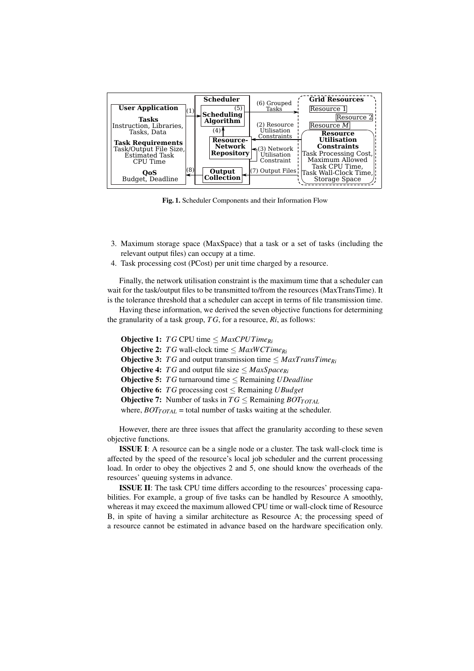

Fig. 1. Scheduler Components and their Information Flow

- 3. Maximum storage space (MaxSpace) that a task or a set of tasks (including the relevant output files) can occupy at a time.
- 4. Task processing cost (PCost) per unit time charged by a resource.

Finally, the network utilisation constraint is the maximum time that a scheduler can wait for the task/output files to be transmitted to/from the resources (MaxTransTime). It is the tolerance threshold that a scheduler can accept in terms of file transmission time.

Having these information, we derived the seven objective functions for determining the granularity of a task group, *T G*, for a resource, *Ri*, as follows:

**Objective 1:** *TG* CPU time  $\leq$  *MaxCPUTime<sub>Ri</sub>* Objective 2: *T G* wall-clock time ≤ *MaxWCTimeRi* Objective 3: *T G* and output transmission time ≤ *MaxTransTimeRi* **Objective 4:** *TG* and output file size  $\leq$  *MaxSpace*<sub>*Ri*</sub> Objective 5: *T G* turnaround time ≤ Remaining *UDeadline* **Objective 6:**  $TG$  processing cost  $\leq$  Remaining *UBudget* **Objective 7:** Number of tasks in  $TG \leq$  Remaining  $BOT<sub>TOTAL</sub>$ where,  $BOT<sub>TOTAL</sub>$  = total number of tasks waiting at the scheduler.

However, there are three issues that affect the granularity according to these seven objective functions.

ISSUE I: A resource can be a single node or a cluster. The task wall-clock time is affected by the speed of the resource's local job scheduler and the current processing load. In order to obey the objectives 2 and 5, one should know the overheads of the resources' queuing systems in advance.

ISSUE II: The task CPU time differs according to the resources' processing capabilities. For example, a group of five tasks can be handled by Resource A smoothly, whereas it may exceed the maximum allowed CPU time or wall-clock time of Resource B, in spite of having a similar architecture as Resource A; the processing speed of a resource cannot be estimated in advance based on the hardware specification only.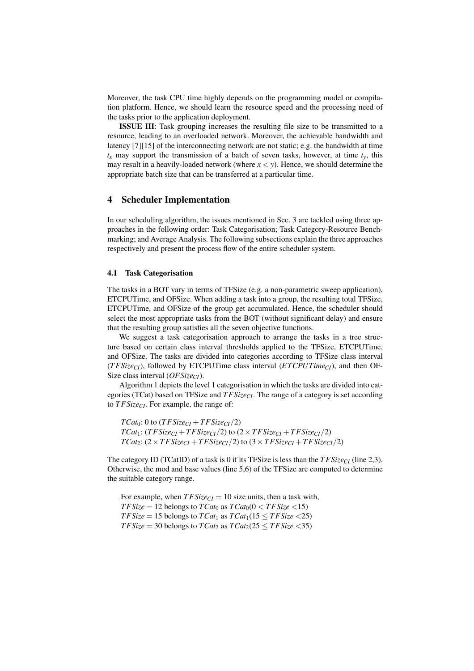Moreover, the task CPU time highly depends on the programming model or compilation platform. Hence, we should learn the resource speed and the processing need of the tasks prior to the application deployment.

ISSUE III: Task grouping increases the resulting file size to be transmitted to a resource, leading to an overloaded network. Moreover, the achievable bandwidth and latency [7][15] of the interconnecting network are not static; e.g. the bandwidth at time  $t_x$  may support the transmission of a batch of seven tasks, however, at time  $t_y$ , this may result in a heavily-loaded network (where  $x < y$ ). Hence, we should determine the appropriate batch size that can be transferred at a particular time.

### 4 Scheduler Implementation

In our scheduling algorithm, the issues mentioned in Sec. 3 are tackled using three approaches in the following order: Task Categorisation; Task Category-Resource Benchmarking; and Average Analysis. The following subsections explain the three approaches respectively and present the process flow of the entire scheduler system.

### 4.1 Task Categorisation

The tasks in a BOT vary in terms of TFSize (e.g. a non-parametric sweep application), ETCPUTime, and OFSize. When adding a task into a group, the resulting total TFSize, ETCPUTime, and OFSize of the group get accumulated. Hence, the scheduler should select the most appropriate tasks from the BOT (without significant delay) and ensure that the resulting group satisfies all the seven objective functions.

We suggest a task categorisation approach to arrange the tasks in a tree structure based on certain class interval thresholds applied to the TFSize, ETCPUTime, and OFSize. The tasks are divided into categories according to TFSize class interval (*T FSizeCI*), followed by ETCPUTime class interval (*ETCPUTimeCI*), and then OF-Size class interval (*OFSizeCI*).

Algorithm 1 depicts the level 1 categorisation in which the tasks are divided into categories (TCat) based on TFSize and *T FSizeCI*. The range of a category is set according to *T FSizeCI*. For example, the range of:

 $TCat_0$ : 0 to  $(TFSize_{CI} + TFSize_{CI}/2)$  $TCat_1$ :  $(TFSize_{CI} + TFSize_{CI}/2)$  to  $(2 \times TFSize_{CI} + TFSize_{CI}/2)$  $TCat_2$ :  $(2 \times TFSize_{CI} + TFSize_{CI}/2)$  to  $(3 \times TFSize_{CI} + TFSize_{CI}/2)$ 

The category ID (TCatID) of a task is 0 if its TFSize is less than the *T FSizeCI* (line 2,3). Otherwise, the mod and base values (line 5,6) of the TFSize are computed to determine the suitable category range.

For example, when  $TFSize_{CI} = 10$  size units, then a task with, *TFSize* = 12 belongs to *TCat*<sup>0</sup> as  $T$ *Cat*<sup>0</sup>(0 < *TFSize* <15) *TFSize* = 15 belongs to *TCat*<sub>1</sub> as  $TCat_1(15 \le TFSize \le 25)$ *TFSize* = 30 belongs to *TCat*<sub>2</sub> as  $TCat_2(25 \le TFSize \le 35)$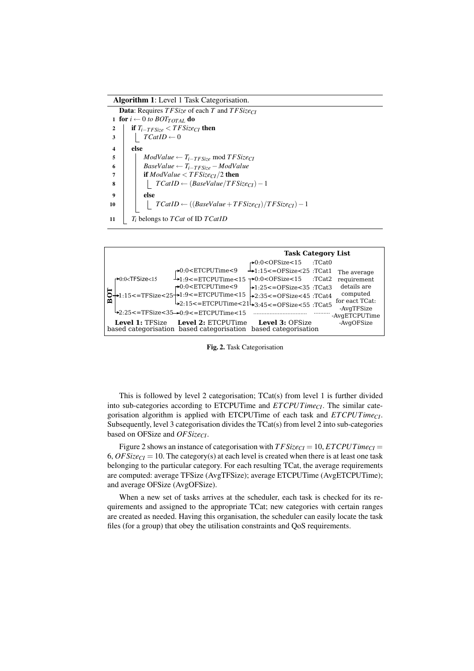#### Algorithm 1: Level 1 Task Categorisation.

Data: Requires *T FSize* of each *T* and *T FSizeCI* 1 for  $i \leftarrow 0$  to  $BOT<sub>TOTAL</sub>$  do 2  $\vert$  if  $T_{i-TFSize} < TFSize_{CI}$  then  $3 \mid \int TCatID \leftarrow 0$ 4 else 5  $\vert$  *ModValue* ←  $T_{i-TFSize}$  mod  $TFSize_{CI}$ 6 **BaseValue** ←  $T_{i-TFSize}$  – ModValue  $7$  **if** *ModValue* < *TFSize*<sub>*CI*</sub>/2 then <sup>8</sup> *TCatID* ← (*BaseValue*/*T FSizeCI*)−1  $9$  else  $10$  *TCatID* ←  $((BaseValue + TFSize_{CI}) / TFSize_{CI}) - 1$ <sup>11</sup> *T<sup>i</sup>* belongs to *TCat* of ID *TCatID*



Fig. 2. Task Categorisation

This is followed by level 2 categorisation; TCat(s) from level 1 is further divided into sub-categories according to ETCPUTime and *ETCPUTimeCI*. The similar categorisation algorithm is applied with ETCPUTime of each task and *ETCPUTimeCI*. Subsequently, level 3 categorisation divides the TCat(s) from level 2 into sub-categories based on OFSize and *OFSizeCI*.

Figure 2 shows an instance of categorisation with  $TFSize_{CI} = 10$ ,  $ETCPUTime_{CI} =$ 6,  $OFSize_{CI} = 10$ . The category(s) at each level is created when there is at least one task belonging to the particular category. For each resulting TCat, the average requirements are computed: average TFSize (AvgTFSize); average ETCPUTime (AvgETCPUTime); and average OFSize (AvgOFSize).

When a new set of tasks arrives at the scheduler, each task is checked for its requirements and assigned to the appropriate TCat; new categories with certain ranges are created as needed. Having this organisation, the scheduler can easily locate the task files (for a group) that obey the utilisation constraints and QoS requirements.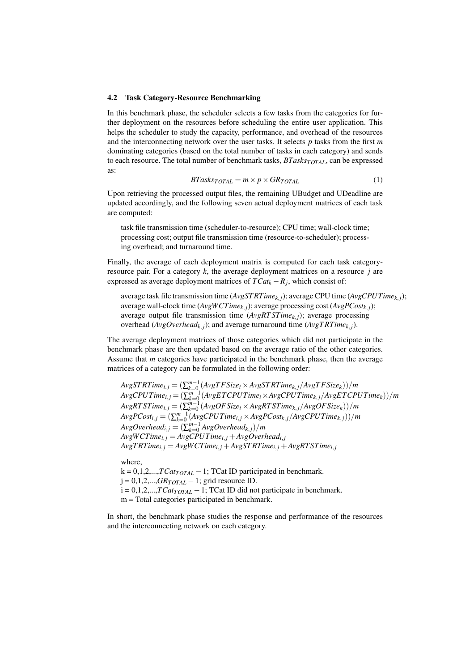#### 4.2 Task Category-Resource Benchmarking

In this benchmark phase, the scheduler selects a few tasks from the categories for further deployment on the resources before scheduling the entire user application. This helps the scheduler to study the capacity, performance, and overhead of the resources and the interconnecting network over the user tasks. It selects *p* tasks from the first *m* dominating categories (based on the total number of tasks in each category) and sends to each resource. The total number of benchmark tasks, *BTasksTOTAL*, can be expressed as:

$$
BTasks_{TOTAL} = m \times p \times GR_{TOTAL} \tag{1}
$$

Upon retrieving the processed output files, the remaining UBudget and UDeadline are updated accordingly, and the following seven actual deployment matrices of each task are computed:

task file transmission time (scheduler-to-resource); CPU time; wall-clock time; processing cost; output file transmission time (resource-to-scheduler); processing overhead; and turnaround time.

Finally, the average of each deployment matrix is computed for each task categoryresource pair. For a category *k*, the average deployment matrices on a resource *j* are expressed as average deployment matrices of  $TCat_k - R_j$ , which consist of:

average task file transmission time (*AvgST RTimek*, *<sup>j</sup>*); average CPU time (*AvgCPUTimek*, *<sup>j</sup>*); average wall-clock time (*AvgWCTimek*, *<sup>j</sup>*); average processing cost (*AvgPCostk*, *<sup>j</sup>*); average output file transmission time (*AvgRT STimek*, *<sup>j</sup>*); average processing overhead ( $AvgOverhead_{k,j}$ ); and average turnaround time ( $AvgTRTime_{k,j}$ ).

The average deployment matrices of those categories which did not participate in the benchmark phase are then updated based on the average ratio of the other categories. Assume that *m* categories have participated in the benchmark phase, then the average matrices of a category can be formulated in the following order:

 $AvgSTRTime_{i,j} = (\sum_{k=0}^{m-1}(AvgTFSize_i \times AvgSTRTime_{k,j}/AvgTFSize_k))/m$  $AvgCPUTime_{i,j} = (\sum_{k=0}^{m-1}(AvgETCPUTime_{i}\times AvgCPUTime_{k,j}/AvgETCPUTime_{k}))/m$  $AvgRTSTime_{i,j}=(\sum_{k=0}^{m-1}(AvgOFSize_i\times AvgRTSTime_{k,j}/AvgOFSize_k))/m$  $AvgPCost_{i,j} = (\sum_{k=0}^{m-1} (AvgCPUTime_{i,j} \times AvgPCost_{k,j} / AvgCPUTime_{k,j}))/m$  $AvgOverhead_{i,j} = (\sum_{k=0}^{m-1} AvgOverhead_{k,j})/m$  $AvgWCTime_{i,j} = AvgCPUTime_{i,j} + AvgOverhead_{i,j}$  $AvgTRTime_{i,j} = AvgWCTime_{i,j} + AvgSTRTime_{i,j} + AvgRTSTime_{i,j}$ 

where,

 $k = 0,1,2,...,TCat_{TOTAL} - 1$ ; TCat ID participated in benchmark.  $j = 0, 1, 2, \dots, GR_{TOTAL} - 1$ ; grid resource ID.

 $i = 0,1,2,...,TCat_{TOTAL} - 1$ ; TCat ID did not participate in benchmark.

m = Total categories participated in benchmark.

In short, the benchmark phase studies the response and performance of the resources and the interconnecting network on each category.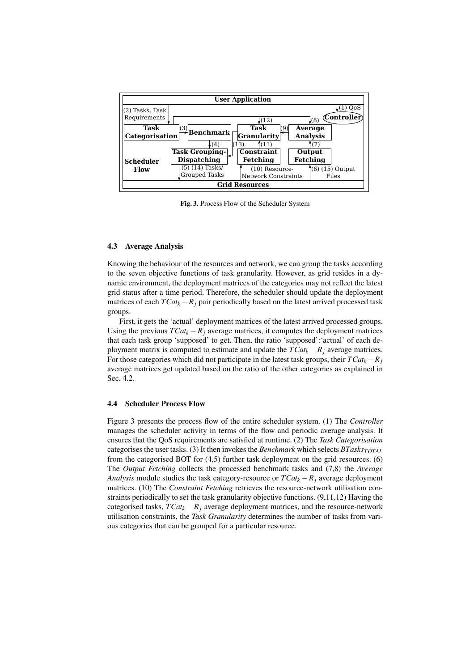

Fig. 3. Process Flow of the Scheduler System

### 4.3 Average Analysis

Knowing the behaviour of the resources and network, we can group the tasks according to the seven objective functions of task granularity. However, as grid resides in a dynamic environment, the deployment matrices of the categories may not reflect the latest grid status after a time period. Therefore, the scheduler should update the deployment matrices of each  $TCat_k - R_j$  pair periodically based on the latest arrived processed task groups.

First, it gets the 'actual' deployment matrices of the latest arrived processed groups. Using the previous  $TCat_k - R_i$  average matrices, it computes the deployment matrices that each task group 'supposed' to get. Then, the ratio 'supposed':'actual' of each deployment matrix is computed to estimate and update the  $TCat_k - R_j$  average matrices. For those categories which did not participate in the latest task groups, their  $TCat_k - R_j$ average matrices get updated based on the ratio of the other categories as explained in Sec. 4.2.

### 4.4 Scheduler Process Flow

Figure 3 presents the process flow of the entire scheduler system. (1) The *Controller* manages the scheduler activity in terms of the flow and periodic average analysis. It ensures that the QoS requirements are satisfied at runtime. (2) The *Task Categorisation* categorises the user tasks. (3) It then invokes the *Benchmark* which selects *BTasksTOTAL* from the categorised BOT for (4,5) further task deployment on the grid resources. (6) The *Output Fetching* collects the processed benchmark tasks and (7,8) the *Average Analysis* module studies the task category-resource or  $TCat_k - R_j$  average deployment matrices. (10) The *Constraint Fetching* retrieves the resource-network utilisation constraints periodically to set the task granularity objective functions. (9,11,12) Having the categorised tasks,  $TCat_k - R_j$  average deployment matrices, and the resource-network utilisation constraints, the *Task Granularity* determines the number of tasks from various categories that can be grouped for a particular resource.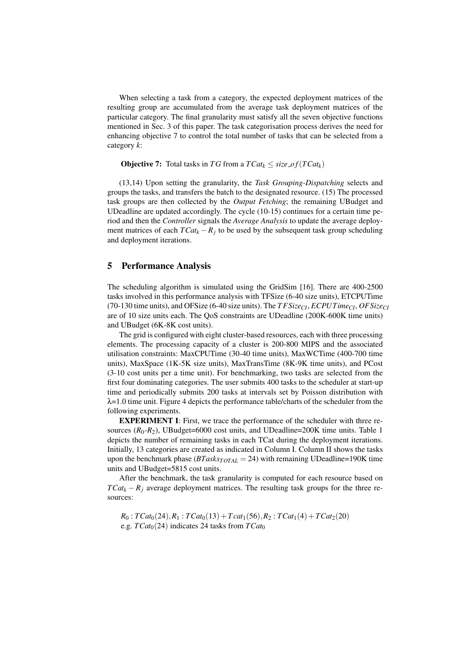When selecting a task from a category, the expected deployment matrices of the resulting group are accumulated from the average task deployment matrices of the particular category. The final granularity must satisfy all the seven objective functions mentioned in Sec. 3 of this paper. The task categorisation process derives the need for enhancing objective 7 to control the total number of tasks that can be selected from a category *k*:

**Objective 7:** Total tasks in *TG* from a  $TCat_k \leq size\_of(TCat_k)$ 

(13,14) Upon setting the granularity, the *Task Grouping-Dispatching* selects and groups the tasks, and transfers the batch to the designated resource. (15) The processed task groups are then collected by the *Output Fetching*; the remaining UBudget and UDeadline are updated accordingly. The cycle (10-15) continues for a certain time period and then the *Controller* signals the *Average Analysis* to update the average deployment matrices of each  $TCat_k - R_j$  to be used by the subsequent task group scheduling and deployment iterations.

### 5 Performance Analysis

The scheduling algorithm is simulated using the GridSim [16]. There are 400-2500 tasks involved in this performance analysis with TFSize (6-40 size units), ETCPUTime (70-130 time units), and OFSize (6-40 size units). The *T FSizeCI*, *ECPUTimeCI*, *OFSizeCI* are of 10 size units each. The QoS constraints are UDeadline (200K-600K time units) and UBudget (6K-8K cost units).

The grid is configured with eight cluster-based resources, each with three processing elements. The processing capacity of a cluster is 200-800 MIPS and the associated utilisation constraints: MaxCPUTime (30-40 time units), MaxWCTime (400-700 time units), MaxSpace (1K-5K size units), MaxTransTime (8K-9K time units), and PCost (3-10 cost units per a time unit). For benchmarking, two tasks are selected from the first four dominating categories. The user submits 400 tasks to the scheduler at start-up time and periodically submits 200 tasks at intervals set by Poisson distribution with λ=1.0 time unit. Figure 4 depicts the performance table/charts of the scheduler from the following experiments.

EXPERIMENT I: First, we trace the performance of the scheduler with three resources  $(R_0-R_2)$ , UBudget=6000 cost units, and UDeadline=200K time units. Table 1 depicts the number of remaining tasks in each TCat during the deployment iterations. Initially, 13 categories are created as indicated in Column I. Column II shows the tasks upon the benchmark phase (*BTasksTOTAL* = 24) with remaining UDeadline=190K time units and UBudget=5815 cost units.

After the benchmark, the task granularity is computed for each resource based on  $TCat_k - R_j$  average deployment matrices. The resulting task groups for the three resources:

 $R_0$ :  $TCat_0(24)$ ,  $R_1$ :  $TCat_0(13) + Tcat_1(56)$ ,  $R_2$ :  $TCat_1(4) + TCat_2(20)$ e.g.  $TCat_0(24)$  indicates 24 tasks from  $TCat_0$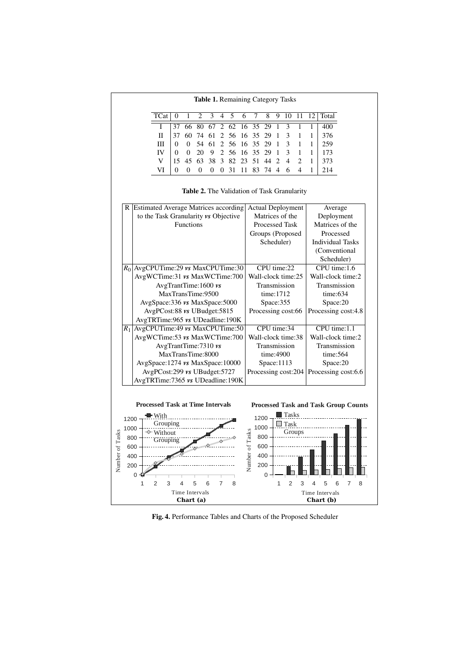Table 1. Remaining Category Tasks

|                                                                                                                                                                                                                    |  |  |  |  |  |  | TCat   0 1 2 3 4 5 6 7 8 9 10 11 12 Total |
|--------------------------------------------------------------------------------------------------------------------------------------------------------------------------------------------------------------------|--|--|--|--|--|--|-------------------------------------------|
| 1 37 66 80 67 2 62 16 35 29 1 3 1 1 400<br>II 37 60 74 61 2 56 16 35 29 1 3 1 1 376<br>III 0 0 54 61 2 56 16 35 29 1 3 1 1 259<br>IV 0 0 20 9 2 56 16 35 29 1 3 1 1 173<br>V 15 45 63 38 3 82 23 51 44 2 4 2 1 373 |  |  |  |  |  |  |                                           |
|                                                                                                                                                                                                                    |  |  |  |  |  |  |                                           |
|                                                                                                                                                                                                                    |  |  |  |  |  |  |                                           |
|                                                                                                                                                                                                                    |  |  |  |  |  |  |                                           |
|                                                                                                                                                                                                                    |  |  |  |  |  |  |                                           |
|                                                                                                                                                                                                                    |  |  |  |  |  |  | VI 0 0 0 0 0 31 11 83 74 4 6 4 1 214      |

Table 2. The Validation of Task Granularity

| R Estimated Average Matrices according<br><b>Actual Deployment</b><br>Average |  |  |  |  |  |  |  |
|-------------------------------------------------------------------------------|--|--|--|--|--|--|--|
| Matrices of the<br>Deployment                                                 |  |  |  |  |  |  |  |
| Matrices of the<br><b>Processed Task</b>                                      |  |  |  |  |  |  |  |
| Groups (Proposed<br>Processed                                                 |  |  |  |  |  |  |  |
| Scheduler)<br><b>Individual Tasks</b>                                         |  |  |  |  |  |  |  |
| (Conventional                                                                 |  |  |  |  |  |  |  |
| Scheduler)                                                                    |  |  |  |  |  |  |  |
| CPU time:22<br>CPU time:1.6<br>AvgCPUTime:29 vs MaxCPUTime:30                 |  |  |  |  |  |  |  |
| AvgWCTime:31 vs MaxWCTime:700<br>Wall-clock time:25<br>Wall-clock time:2      |  |  |  |  |  |  |  |
| Transmission<br>Transmission                                                  |  |  |  |  |  |  |  |
| time: 1712<br>time:634                                                        |  |  |  |  |  |  |  |
| Space:355<br>Space:20                                                         |  |  |  |  |  |  |  |
| Processing cost:66<br>Processing cost:4.8                                     |  |  |  |  |  |  |  |
|                                                                               |  |  |  |  |  |  |  |
| AvgCPUTime:49 vs MaxCPUTime:50<br>CPU time:34<br>CPU time:1.1                 |  |  |  |  |  |  |  |
| AvgWCTime:53 vs MaxWCTime:700<br>Wall-clock time:38<br>Wall-clock time:2      |  |  |  |  |  |  |  |
| Transmission<br>Transmission                                                  |  |  |  |  |  |  |  |
| time:4900<br>time:564                                                         |  |  |  |  |  |  |  |
| Space:1113<br>Space:20                                                        |  |  |  |  |  |  |  |
| Processing cost:204<br>Processing cost:6.6                                    |  |  |  |  |  |  |  |
| AvgTRTime: 7365 vs UDeadline: 190K                                            |  |  |  |  |  |  |  |
| <b>Processed Task and Task Group Counts</b>                                   |  |  |  |  |  |  |  |
| <b>Tasks</b><br>1200                                                          |  |  |  |  |  |  |  |
| Task<br>1000                                                                  |  |  |  |  |  |  |  |
| Number of Tasks<br>Groups<br>800                                              |  |  |  |  |  |  |  |
| 600                                                                           |  |  |  |  |  |  |  |
| 400                                                                           |  |  |  |  |  |  |  |
| 200                                                                           |  |  |  |  |  |  |  |
| 0                                                                             |  |  |  |  |  |  |  |
| $\overline{2}$<br>3<br>5<br>$\mathbf{1}$<br>6<br>7<br>Δ<br>8                  |  |  |  |  |  |  |  |
| <b>Time Intervals</b>                                                         |  |  |  |  |  |  |  |
| Chart (b)                                                                     |  |  |  |  |  |  |  |
| AvgTRTime:965 vs UDeadline:190K<br>AvgSpace:1274 vs MaxSpace:10000            |  |  |  |  |  |  |  |

Fig. 4. Performance Tables and Charts of the Proposed Scheduler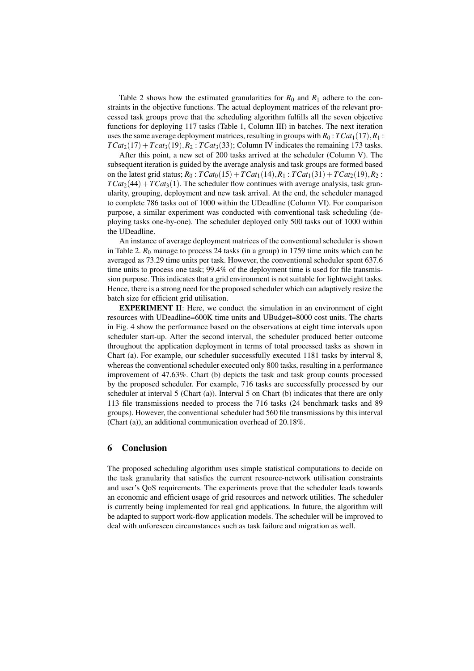Table 2 shows how the estimated granularities for  $R_0$  and  $R_1$  adhere to the constraints in the objective functions. The actual deployment matrices of the relevant processed task groups prove that the scheduling algorithm fulfills all the seven objective functions for deploying 117 tasks (Table 1, Column III) in batches. The next iteration uses the same average deployment matrices, resulting in groups with  $R_0$ :  $TCat_1(17)$ ,  $R_1$ :  $TCat_2(17) + Tcat_3(19), R_2$ :  $TCat_3(33)$ ; Column IV indicates the remaining 173 tasks.

After this point, a new set of 200 tasks arrived at the scheduler (Column V). The subsequent iteration is guided by the average analysis and task groups are formed based on the latest grid status;  $R_0$ :  $TCat_0(15) + TCat_1(14), R_1$ :  $TCat_1(31) + TCat_2(19), R_2$ :  $TCat<sub>2</sub>(44) + TCat<sub>3</sub>(1)$ . The scheduler flow continues with average analysis, task granularity, grouping, deployment and new task arrival. At the end, the scheduler managed to complete 786 tasks out of 1000 within the UDeadline (Column VI). For comparison purpose, a similar experiment was conducted with conventional task scheduling (deploying tasks one-by-one). The scheduler deployed only 500 tasks out of 1000 within the UDeadline.

An instance of average deployment matrices of the conventional scheduler is shown in Table 2.  $R_0$  manage to process 24 tasks (in a group) in 1759 time units which can be averaged as 73.29 time units per task. However, the conventional scheduler spent 637.6 time units to process one task; 99.4% of the deployment time is used for file transmission purpose. This indicates that a grid environment is not suitable for lightweight tasks. Hence, there is a strong need for the proposed scheduler which can adaptively resize the batch size for efficient grid utilisation.

EXPERIMENT II: Here, we conduct the simulation in an environment of eight resources with UDeadline=600K time units and UBudget=8000 cost units. The charts in Fig. 4 show the performance based on the observations at eight time intervals upon scheduler start-up. After the second interval, the scheduler produced better outcome throughout the application deployment in terms of total processed tasks as shown in Chart (a). For example, our scheduler successfully executed 1181 tasks by interval 8, whereas the conventional scheduler executed only 800 tasks, resulting in a performance improvement of 47.63%. Chart (b) depicts the task and task group counts processed by the proposed scheduler. For example, 716 tasks are successfully processed by our scheduler at interval 5 (Chart (a)). Interval 5 on Chart (b) indicates that there are only 113 file transmissions needed to process the 716 tasks (24 benchmark tasks and 89 groups). However, the conventional scheduler had 560 file transmissions by this interval (Chart (a)), an additional communication overhead of 20.18%.

## 6 Conclusion

The proposed scheduling algorithm uses simple statistical computations to decide on the task granularity that satisfies the current resource-network utilisation constraints and user's QoS requirements. The experiments prove that the scheduler leads towards an economic and efficient usage of grid resources and network utilities. The scheduler is currently being implemented for real grid applications. In future, the algorithm will be adapted to support work-flow application models. The scheduler will be improved to deal with unforeseen circumstances such as task failure and migration as well.